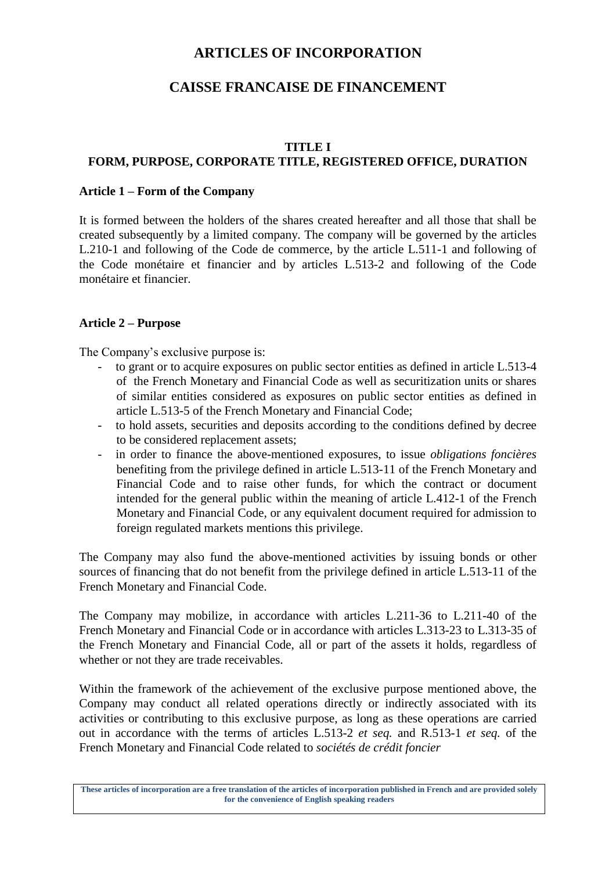# **ARTICLES OF INCORPORATION**

# **CAISSE FRANCAISE DE FINANCEMENT**

#### **TITLE I**

# **FORM, PURPOSE, CORPORATE TITLE, REGISTERED OFFICE, DURATION**

### **Article 1 – Form of the Company**

It is formed between the holders of the shares created hereafter and all those that shall be created subsequently by a limited company. The company will be governed by the articles L.210-1 and following of the Code de commerce, by the article L.511-1 and following of the Code monétaire et financier and by articles L.513-2 and following of the Code monétaire et financier.

# **Article 2 – Purpose**

The Company's exclusive purpose is:

- to grant or to acquire exposures on public sector entities as defined in article L.513-4 of the French Monetary and Financial Code as well as securitization units or shares of similar entities considered as exposures on public sector entities as defined in article L.513-5 of the French Monetary and Financial Code;
- to hold assets, securities and deposits according to the conditions defined by decree to be considered replacement assets;
- in order to finance the above-mentioned exposures, to issue *obligations foncières*  benefiting from the privilege defined in article L.513-11 of the French Monetary and Financial Code and to raise other funds, for which the contract or document intended for the general public within the meaning of article L.412-1 of the French Monetary and Financial Code, or any equivalent document required for admission to foreign regulated markets mentions this privilege.

The Company may also fund the above-mentioned activities by issuing bonds or other sources of financing that do not benefit from the privilege defined in article L.513-11 of the French Monetary and Financial Code.

The Company may mobilize, in accordance with articles L.211-36 to L.211-40 of the French Monetary and Financial Code or in accordance with articles L.313-23 to L.313-35 of the French Monetary and Financial Code, all or part of the assets it holds, regardless of whether or not they are trade receivables.

Within the framework of the achievement of the exclusive purpose mentioned above, the Company may conduct all related operations directly or indirectly associated with its activities or contributing to this exclusive purpose, as long as these operations are carried out in accordance with the terms of articles L.513-2 *et seq.* and R.513-1 *et seq.* of the French Monetary and Financial Code related to *sociétés de crédit foncier*

**These articles of incorporation are a free translation of the articles of incorporation published in French and are provided solely for the convenience of English speaking readers**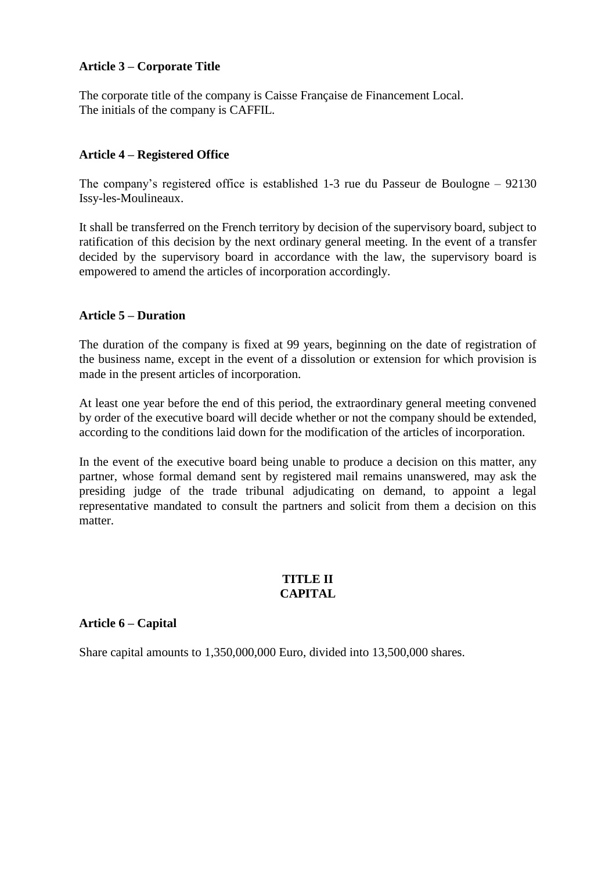### **Article 3 – Corporate Title**

The corporate title of the company is Caisse Française de Financement Local. The initials of the company is CAFFIL.

# **Article 4 – Registered Office**

The company's registered office is established 1-3 rue du Passeur de Boulogne – 92130 Issy-les-Moulineaux.

It shall be transferred on the French territory by decision of the supervisory board, subject to ratification of this decision by the next ordinary general meeting. In the event of a transfer decided by the supervisory board in accordance with the law, the supervisory board is empowered to amend the articles of incorporation accordingly.

### **Article 5 – Duration**

The duration of the company is fixed at 99 years, beginning on the date of registration of the business name, except in the event of a dissolution or extension for which provision is made in the present articles of incorporation.

At least one year before the end of this period, the extraordinary general meeting convened by order of the executive board will decide whether or not the company should be extended, according to the conditions laid down for the modification of the articles of incorporation.

In the event of the executive board being unable to produce a decision on this matter, any partner, whose formal demand sent by registered mail remains unanswered, may ask the presiding judge of the trade tribunal adjudicating on demand, to appoint a legal representative mandated to consult the partners and solicit from them a decision on this matter.

#### **TITLE II CAPITAL**

#### **Article 6 – Capital**

Share capital amounts to 1,350,000,000 Euro, divided into 13,500,000 shares.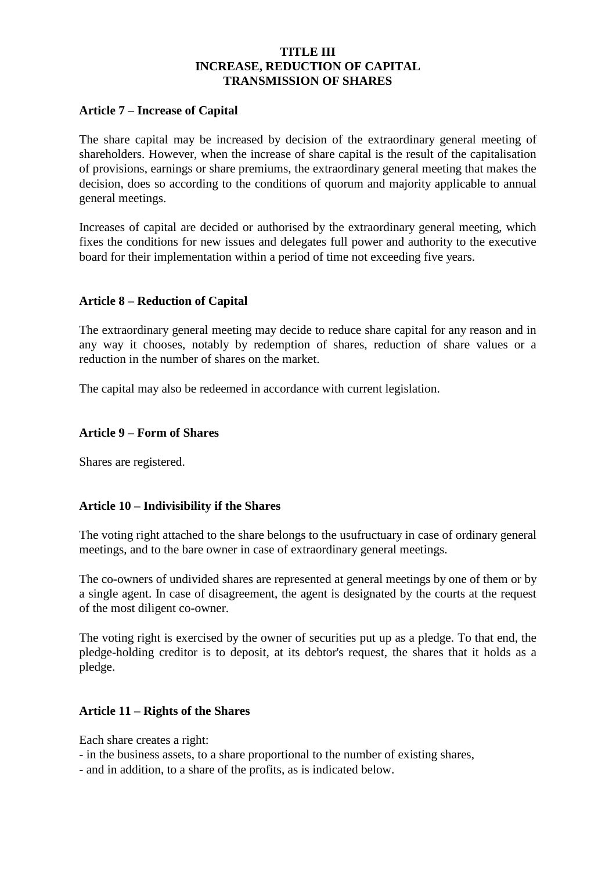### **TITLE III INCREASE, REDUCTION OF CAPITAL TRANSMISSION OF SHARES**

#### **Article 7 – Increase of Capital**

The share capital may be increased by decision of the extraordinary general meeting of shareholders. However, when the increase of share capital is the result of the capitalisation of provisions, earnings or share premiums, the extraordinary general meeting that makes the decision, does so according to the conditions of quorum and majority applicable to annual general meetings.

Increases of capital are decided or authorised by the extraordinary general meeting, which fixes the conditions for new issues and delegates full power and authority to the executive board for their implementation within a period of time not exceeding five years.

#### **Article 8 – Reduction of Capital**

The extraordinary general meeting may decide to reduce share capital for any reason and in any way it chooses, notably by redemption of shares, reduction of share values or a reduction in the number of shares on the market.

The capital may also be redeemed in accordance with current legislation.

#### **Article 9 – Form of Shares**

Shares are registered.

#### **Article 10 – Indivisibility if the Shares**

The voting right attached to the share belongs to the usufructuary in case of ordinary general meetings, and to the bare owner in case of extraordinary general meetings.

The co-owners of undivided shares are represented at general meetings by one of them or by a single agent. In case of disagreement, the agent is designated by the courts at the request of the most diligent co-owner.

The voting right is exercised by the owner of securities put up as a pledge. To that end, the pledge-holding creditor is to deposit, at its debtor's request, the shares that it holds as a pledge.

#### **Article 11 – Rights of the Shares**

Each share creates a right:

- in the business assets, to a share proportional to the number of existing shares,
- and in addition, to a share of the profits, as is indicated below.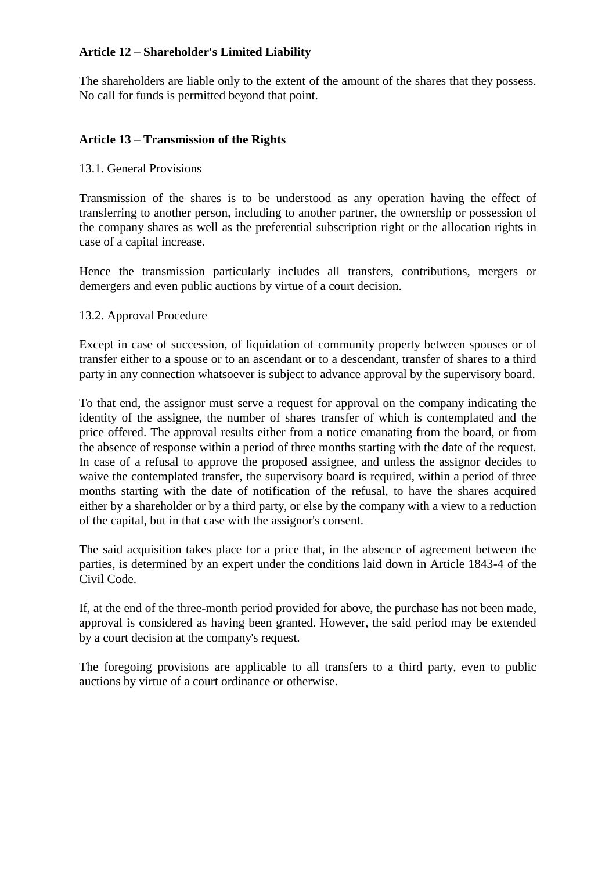### **Article 12 – Shareholder's Limited Liability**

The shareholders are liable only to the extent of the amount of the shares that they possess. No call for funds is permitted beyond that point.

# **Article 13 – Transmission of the Rights**

### 13.1. General Provisions

Transmission of the shares is to be understood as any operation having the effect of transferring to another person, including to another partner, the ownership or possession of the company shares as well as the preferential subscription right or the allocation rights in case of a capital increase.

Hence the transmission particularly includes all transfers, contributions, mergers or demergers and even public auctions by virtue of a court decision.

### 13.2. Approval Procedure

Except in case of succession, of liquidation of community property between spouses or of transfer either to a spouse or to an ascendant or to a descendant, transfer of shares to a third party in any connection whatsoever is subject to advance approval by the supervisory board.

To that end, the assignor must serve a request for approval on the company indicating the identity of the assignee, the number of shares transfer of which is contemplated and the price offered. The approval results either from a notice emanating from the board, or from the absence of response within a period of three months starting with the date of the request. In case of a refusal to approve the proposed assignee, and unless the assignor decides to waive the contemplated transfer, the supervisory board is required, within a period of three months starting with the date of notification of the refusal, to have the shares acquired either by a shareholder or by a third party, or else by the company with a view to a reduction of the capital, but in that case with the assignor's consent.

The said acquisition takes place for a price that, in the absence of agreement between the parties, is determined by an expert under the conditions laid down in Article 1843-4 of the Civil Code.

If, at the end of the three-month period provided for above, the purchase has not been made, approval is considered as having been granted. However, the said period may be extended by a court decision at the company's request.

The foregoing provisions are applicable to all transfers to a third party, even to public auctions by virtue of a court ordinance or otherwise.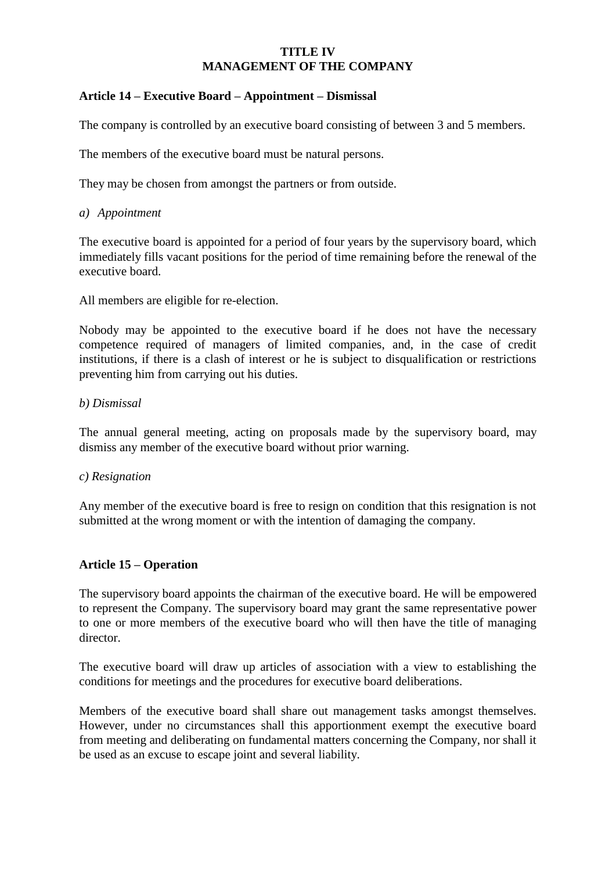# **TITLE IV MANAGEMENT OF THE COMPANY**

# **Article 14 – Executive Board – Appointment – Dismissal**

The company is controlled by an executive board consisting of between 3 and 5 members.

The members of the executive board must be natural persons.

They may be chosen from amongst the partners or from outside.

### *a) Appointment*

The executive board is appointed for a period of four years by the supervisory board, which immediately fills vacant positions for the period of time remaining before the renewal of the executive board.

All members are eligible for re-election.

Nobody may be appointed to the executive board if he does not have the necessary competence required of managers of limited companies, and, in the case of credit institutions, if there is a clash of interest or he is subject to disqualification or restrictions preventing him from carrying out his duties.

#### *b) Dismissal*

The annual general meeting, acting on proposals made by the supervisory board, may dismiss any member of the executive board without prior warning.

#### *c) Resignation*

Any member of the executive board is free to resign on condition that this resignation is not submitted at the wrong moment or with the intention of damaging the company.

#### **Article 15 – Operation**

The supervisory board appoints the chairman of the executive board. He will be empowered to represent the Company. The supervisory board may grant the same representative power to one or more members of the executive board who will then have the title of managing director.

The executive board will draw up articles of association with a view to establishing the conditions for meetings and the procedures for executive board deliberations.

Members of the executive board shall share out management tasks amongst themselves. However, under no circumstances shall this apportionment exempt the executive board from meeting and deliberating on fundamental matters concerning the Company, nor shall it be used as an excuse to escape joint and several liability.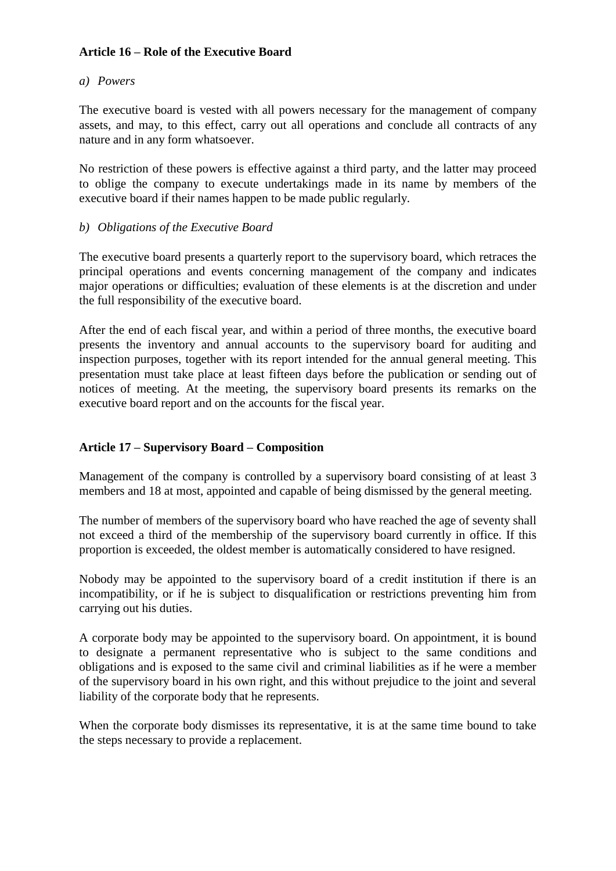# **Article 16 – Role of the Executive Board**

### *a) Powers*

The executive board is vested with all powers necessary for the management of company assets, and may, to this effect, carry out all operations and conclude all contracts of any nature and in any form whatsoever.

No restriction of these powers is effective against a third party, and the latter may proceed to oblige the company to execute undertakings made in its name by members of the executive board if their names happen to be made public regularly.

### *b) Obligations of the Executive Board*

The executive board presents a quarterly report to the supervisory board, which retraces the principal operations and events concerning management of the company and indicates major operations or difficulties; evaluation of these elements is at the discretion and under the full responsibility of the executive board.

After the end of each fiscal year, and within a period of three months, the executive board presents the inventory and annual accounts to the supervisory board for auditing and inspection purposes, together with its report intended for the annual general meeting. This presentation must take place at least fifteen days before the publication or sending out of notices of meeting. At the meeting, the supervisory board presents its remarks on the executive board report and on the accounts for the fiscal year.

# **Article 17 – Supervisory Board – Composition**

Management of the company is controlled by a supervisory board consisting of at least 3 members and 18 at most, appointed and capable of being dismissed by the general meeting.

The number of members of the supervisory board who have reached the age of seventy shall not exceed a third of the membership of the supervisory board currently in office. If this proportion is exceeded, the oldest member is automatically considered to have resigned.

Nobody may be appointed to the supervisory board of a credit institution if there is an incompatibility, or if he is subject to disqualification or restrictions preventing him from carrying out his duties.

A corporate body may be appointed to the supervisory board. On appointment, it is bound to designate a permanent representative who is subject to the same conditions and obligations and is exposed to the same civil and criminal liabilities as if he were a member of the supervisory board in his own right, and this without prejudice to the joint and several liability of the corporate body that he represents.

When the corporate body dismisses its representative, it is at the same time bound to take the steps necessary to provide a replacement.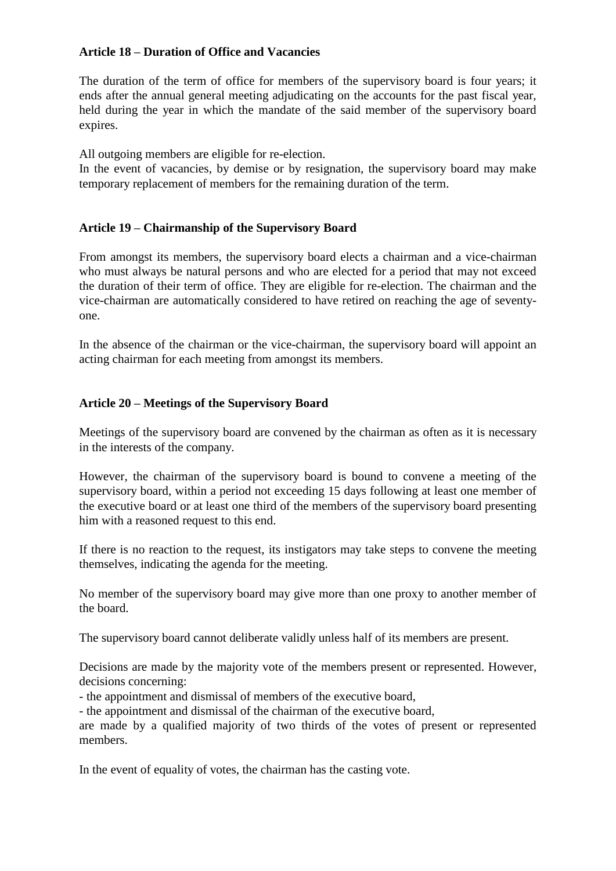# **Article 18 – Duration of Office and Vacancies**

The duration of the term of office for members of the supervisory board is four years; it ends after the annual general meeting adjudicating on the accounts for the past fiscal year, held during the year in which the mandate of the said member of the supervisory board expires.

All outgoing members are eligible for re-election.

In the event of vacancies, by demise or by resignation, the supervisory board may make temporary replacement of members for the remaining duration of the term.

### **Article 19 – Chairmanship of the Supervisory Board**

From amongst its members, the supervisory board elects a chairman and a vice-chairman who must always be natural persons and who are elected for a period that may not exceed the duration of their term of office. They are eligible for re-election. The chairman and the vice-chairman are automatically considered to have retired on reaching the age of seventyone.

In the absence of the chairman or the vice-chairman, the supervisory board will appoint an acting chairman for each meeting from amongst its members.

#### **Article 20 – Meetings of the Supervisory Board**

Meetings of the supervisory board are convened by the chairman as often as it is necessary in the interests of the company.

However, the chairman of the supervisory board is bound to convene a meeting of the supervisory board, within a period not exceeding 15 days following at least one member of the executive board or at least one third of the members of the supervisory board presenting him with a reasoned request to this end.

If there is no reaction to the request, its instigators may take steps to convene the meeting themselves, indicating the agenda for the meeting.

No member of the supervisory board may give more than one proxy to another member of the board.

The supervisory board cannot deliberate validly unless half of its members are present.

Decisions are made by the majority vote of the members present or represented. However, decisions concerning:

- the appointment and dismissal of members of the executive board,

- the appointment and dismissal of the chairman of the executive board,

are made by a qualified majority of two thirds of the votes of present or represented members.

In the event of equality of votes, the chairman has the casting vote.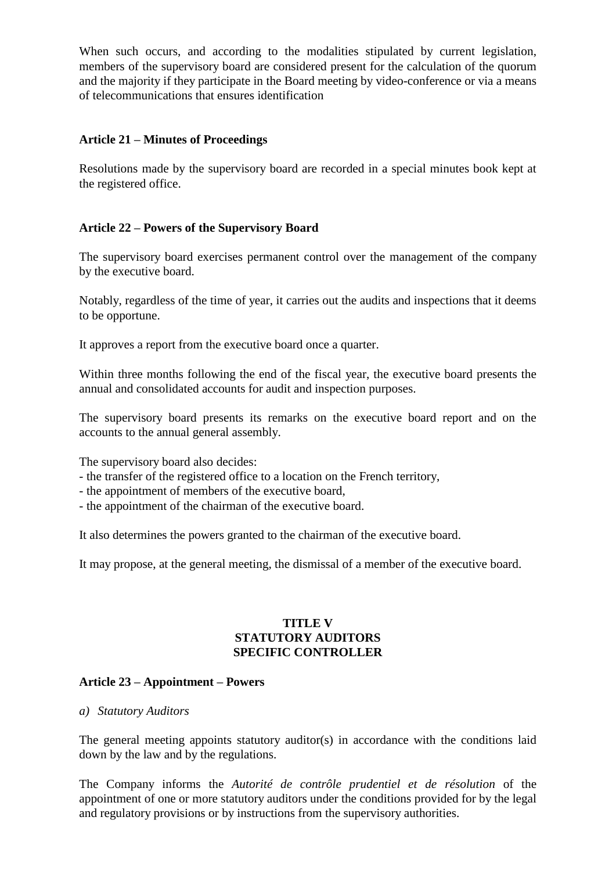When such occurs, and according to the modalities stipulated by current legislation, members of the supervisory board are considered present for the calculation of the quorum and the majority if they participate in the Board meeting by video-conference or via a means of telecommunications that ensures identification

### **Article 21 – Minutes of Proceedings**

Resolutions made by the supervisory board are recorded in a special minutes book kept at the registered office.

# **Article 22 – Powers of the Supervisory Board**

The supervisory board exercises permanent control over the management of the company by the executive board.

Notably, regardless of the time of year, it carries out the audits and inspections that it deems to be opportune.

It approves a report from the executive board once a quarter.

Within three months following the end of the fiscal year, the executive board presents the annual and consolidated accounts for audit and inspection purposes.

The supervisory board presents its remarks on the executive board report and on the accounts to the annual general assembly.

The supervisory board also decides:

- the transfer of the registered office to a location on the French territory,
- the appointment of members of the executive board,
- the appointment of the chairman of the executive board.

It also determines the powers granted to the chairman of the executive board.

It may propose, at the general meeting, the dismissal of a member of the executive board.

### **TITLE V STATUTORY AUDITORS SPECIFIC CONTROLLER**

#### **Article 23 – Appointment – Powers**

*a) Statutory Auditors*

The general meeting appoints statutory auditor(s) in accordance with the conditions laid down by the law and by the regulations.

The Company informs the *Autorité de contrôle prudentiel et de résolution* of the appointment of one or more statutory auditors under the conditions provided for by the legal and regulatory provisions or by instructions from the supervisory authorities.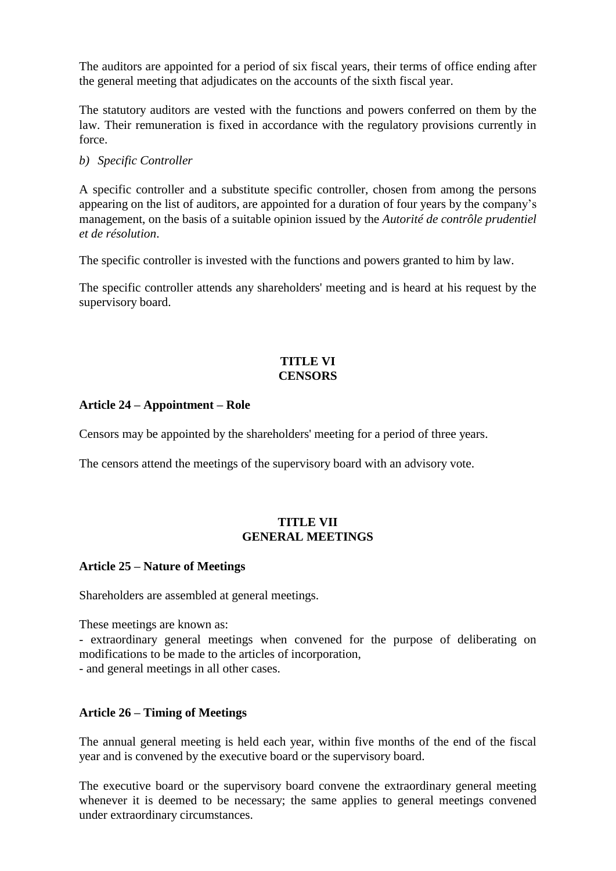The auditors are appointed for a period of six fiscal years, their terms of office ending after the general meeting that adjudicates on the accounts of the sixth fiscal year.

The statutory auditors are vested with the functions and powers conferred on them by the law. Their remuneration is fixed in accordance with the regulatory provisions currently in force.

### *b) Specific Controller*

A specific controller and a substitute specific controller, chosen from among the persons appearing on the list of auditors, are appointed for a duration of four years by the company's management, on the basis of a suitable opinion issued by the *Autorité de contrôle prudentiel et de résolution*.

The specific controller is invested with the functions and powers granted to him by law.

The specific controller attends any shareholders' meeting and is heard at his request by the supervisory board.

### **TITLE VI CENSORS**

### **Article 24 – Appointment – Role**

Censors may be appointed by the shareholders' meeting for a period of three years.

The censors attend the meetings of the supervisory board with an advisory vote.

### **TITLE VII GENERAL MEETINGS**

# **Article 25 – Nature of Meetings**

Shareholders are assembled at general meetings.

These meetings are known as:

- extraordinary general meetings when convened for the purpose of deliberating on modifications to be made to the articles of incorporation,

- and general meetings in all other cases.

# **Article 26 – Timing of Meetings**

The annual general meeting is held each year, within five months of the end of the fiscal year and is convened by the executive board or the supervisory board.

The executive board or the supervisory board convene the extraordinary general meeting whenever it is deemed to be necessary; the same applies to general meetings convened under extraordinary circumstances.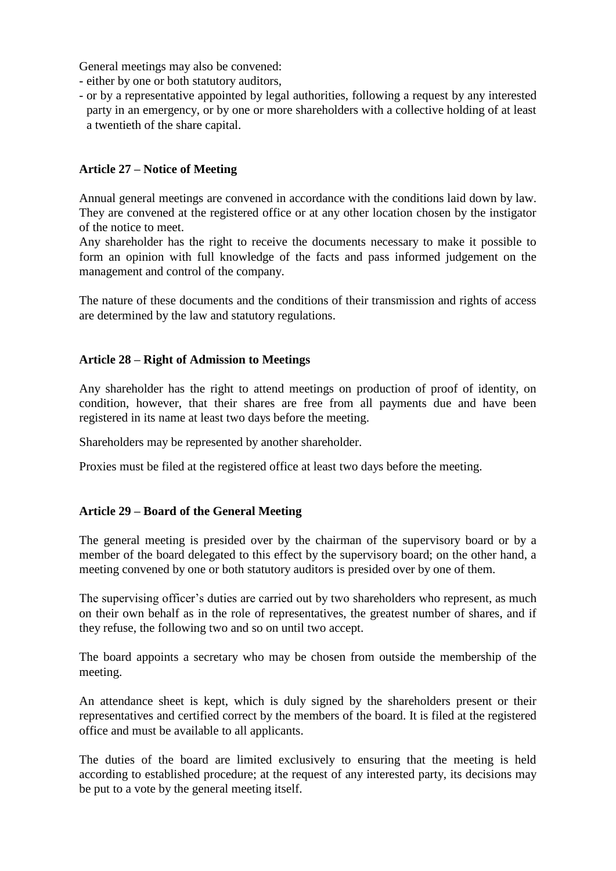General meetings may also be convened:

- either by one or both statutory auditors,
- or by a representative appointed by legal authorities, following a request by any interested party in an emergency, or by one or more shareholders with a collective holding of at least a twentieth of the share capital.

# **Article 27 – Notice of Meeting**

Annual general meetings are convened in accordance with the conditions laid down by law. They are convened at the registered office or at any other location chosen by the instigator of the notice to meet.

Any shareholder has the right to receive the documents necessary to make it possible to form an opinion with full knowledge of the facts and pass informed judgement on the management and control of the company.

The nature of these documents and the conditions of their transmission and rights of access are determined by the law and statutory regulations.

#### **Article 28 – Right of Admission to Meetings**

Any shareholder has the right to attend meetings on production of proof of identity, on condition, however, that their shares are free from all payments due and have been registered in its name at least two days before the meeting.

Shareholders may be represented by another shareholder.

Proxies must be filed at the registered office at least two days before the meeting.

#### **Article 29 – Board of the General Meeting**

The general meeting is presided over by the chairman of the supervisory board or by a member of the board delegated to this effect by the supervisory board; on the other hand, a meeting convened by one or both statutory auditors is presided over by one of them.

The supervising officer's duties are carried out by two shareholders who represent, as much on their own behalf as in the role of representatives, the greatest number of shares, and if they refuse, the following two and so on until two accept.

The board appoints a secretary who may be chosen from outside the membership of the meeting.

An attendance sheet is kept, which is duly signed by the shareholders present or their representatives and certified correct by the members of the board. It is filed at the registered office and must be available to all applicants.

The duties of the board are limited exclusively to ensuring that the meeting is held according to established procedure; at the request of any interested party, its decisions may be put to a vote by the general meeting itself.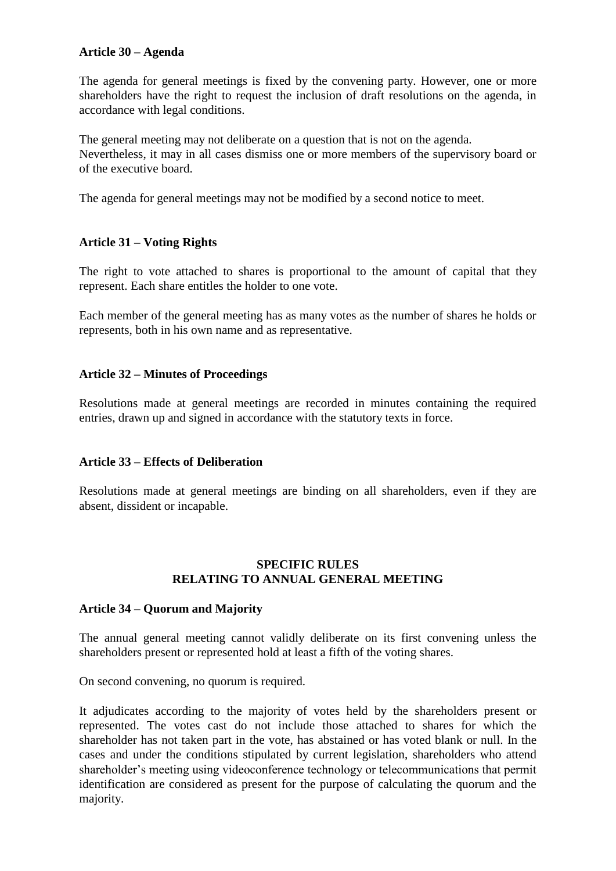### **Article 30 – Agenda**

The agenda for general meetings is fixed by the convening party. However, one or more shareholders have the right to request the inclusion of draft resolutions on the agenda, in accordance with legal conditions.

The general meeting may not deliberate on a question that is not on the agenda. Nevertheless, it may in all cases dismiss one or more members of the supervisory board or of the executive board.

The agenda for general meetings may not be modified by a second notice to meet.

# **Article 31 – Voting Rights**

The right to vote attached to shares is proportional to the amount of capital that they represent. Each share entitles the holder to one vote.

Each member of the general meeting has as many votes as the number of shares he holds or represents, both in his own name and as representative.

### **Article 32 – Minutes of Proceedings**

Resolutions made at general meetings are recorded in minutes containing the required entries, drawn up and signed in accordance with the statutory texts in force.

#### **Article 33 – Effects of Deliberation**

Resolutions made at general meetings are binding on all shareholders, even if they are absent, dissident or incapable.

#### **SPECIFIC RULES RELATING TO ANNUAL GENERAL MEETING**

#### **Article 34 – Quorum and Majority**

The annual general meeting cannot validly deliberate on its first convening unless the shareholders present or represented hold at least a fifth of the voting shares.

On second convening, no quorum is required.

It adjudicates according to the majority of votes held by the shareholders present or represented. The votes cast do not include those attached to shares for which the shareholder has not taken part in the vote, has abstained or has voted blank or null. In the cases and under the conditions stipulated by current legislation, shareholders who attend shareholder's meeting using videoconference technology or telecommunications that permit identification are considered as present for the purpose of calculating the quorum and the majority.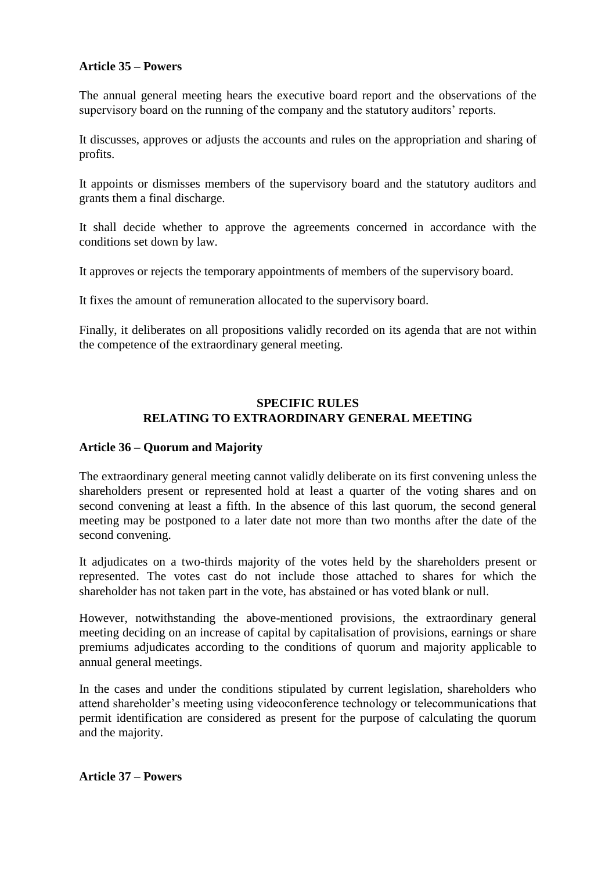### **Article 35 – Powers**

The annual general meeting hears the executive board report and the observations of the supervisory board on the running of the company and the statutory auditors' reports.

It discusses, approves or adjusts the accounts and rules on the appropriation and sharing of profits.

It appoints or dismisses members of the supervisory board and the statutory auditors and grants them a final discharge.

It shall decide whether to approve the agreements concerned in accordance with the conditions set down by law.

It approves or rejects the temporary appointments of members of the supervisory board.

It fixes the amount of remuneration allocated to the supervisory board.

Finally, it deliberates on all propositions validly recorded on its agenda that are not within the competence of the extraordinary general meeting.

# **SPECIFIC RULES RELATING TO EXTRAORDINARY GENERAL MEETING**

#### **Article 36 – Quorum and Majority**

The extraordinary general meeting cannot validly deliberate on its first convening unless the shareholders present or represented hold at least a quarter of the voting shares and on second convening at least a fifth. In the absence of this last quorum, the second general meeting may be postponed to a later date not more than two months after the date of the second convening.

It adjudicates on a two-thirds majority of the votes held by the shareholders present or represented. The votes cast do not include those attached to shares for which the shareholder has not taken part in the vote, has abstained or has voted blank or null.

However, notwithstanding the above-mentioned provisions, the extraordinary general meeting deciding on an increase of capital by capitalisation of provisions, earnings or share premiums adjudicates according to the conditions of quorum and majority applicable to annual general meetings.

In the cases and under the conditions stipulated by current legislation, shareholders who attend shareholder's meeting using videoconference technology or telecommunications that permit identification are considered as present for the purpose of calculating the quorum and the majority.

# **Article 37 – Powers**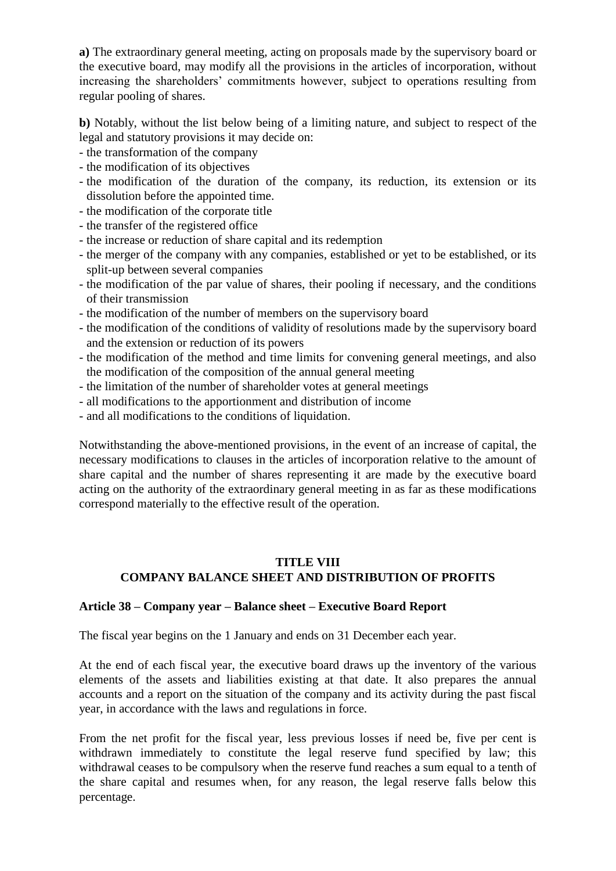**a)** The extraordinary general meeting, acting on proposals made by the supervisory board or the executive board, may modify all the provisions in the articles of incorporation, without increasing the shareholders' commitments however, subject to operations resulting from regular pooling of shares.

**b)** Notably, without the list below being of a limiting nature, and subject to respect of the legal and statutory provisions it may decide on:

- the transformation of the company
- the modification of its objectives
- the modification of the duration of the company, its reduction, its extension or its dissolution before the appointed time.
- the modification of the corporate title
- the transfer of the registered office
- the increase or reduction of share capital and its redemption
- the merger of the company with any companies, established or yet to be established, or its split-up between several companies
- the modification of the par value of shares, their pooling if necessary, and the conditions of their transmission
- the modification of the number of members on the supervisory board
- the modification of the conditions of validity of resolutions made by the supervisory board and the extension or reduction of its powers
- the modification of the method and time limits for convening general meetings, and also the modification of the composition of the annual general meeting
- the limitation of the number of shareholder votes at general meetings
- all modifications to the apportionment and distribution of income
- and all modifications to the conditions of liquidation.

Notwithstanding the above-mentioned provisions, in the event of an increase of capital, the necessary modifications to clauses in the articles of incorporation relative to the amount of share capital and the number of shares representing it are made by the executive board acting on the authority of the extraordinary general meeting in as far as these modifications correspond materially to the effective result of the operation.

# **TITLE VIII COMPANY BALANCE SHEET AND DISTRIBUTION OF PROFITS**

# **Article 38 – Company year – Balance sheet – Executive Board Report**

The fiscal year begins on the 1 January and ends on 31 December each year.

At the end of each fiscal year, the executive board draws up the inventory of the various elements of the assets and liabilities existing at that date. It also prepares the annual accounts and a report on the situation of the company and its activity during the past fiscal year, in accordance with the laws and regulations in force.

From the net profit for the fiscal year, less previous losses if need be, five per cent is withdrawn immediately to constitute the legal reserve fund specified by law; this withdrawal ceases to be compulsory when the reserve fund reaches a sum equal to a tenth of the share capital and resumes when, for any reason, the legal reserve falls below this percentage.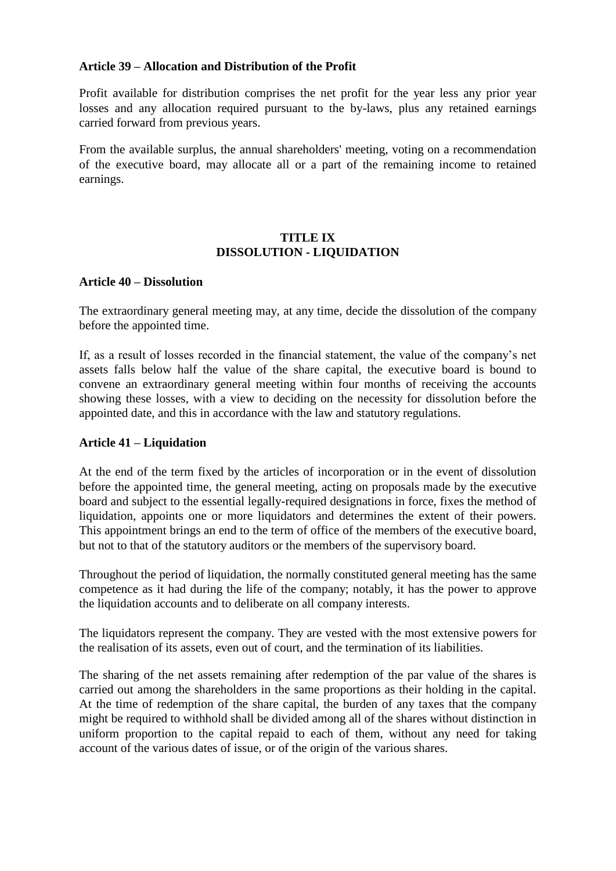### **Article 39 – Allocation and Distribution of the Profit**

Profit available for distribution comprises the net profit for the year less any prior year losses and any allocation required pursuant to the by-laws, plus any retained earnings carried forward from previous years.

From the available surplus, the annual shareholders' meeting, voting on a recommendation of the executive board, may allocate all or a part of the remaining income to retained earnings.

# **TITLE IX DISSOLUTION - LIQUIDATION**

#### **Article 40 – Dissolution**

The extraordinary general meeting may, at any time, decide the dissolution of the company before the appointed time.

If, as a result of losses recorded in the financial statement, the value of the company's net assets falls below half the value of the share capital, the executive board is bound to convene an extraordinary general meeting within four months of receiving the accounts showing these losses, with a view to deciding on the necessity for dissolution before the appointed date, and this in accordance with the law and statutory regulations.

### **Article 41 – Liquidation**

At the end of the term fixed by the articles of incorporation or in the event of dissolution before the appointed time, the general meeting, acting on proposals made by the executive board and subject to the essential legally-required designations in force, fixes the method of liquidation, appoints one or more liquidators and determines the extent of their powers. This appointment brings an end to the term of office of the members of the executive board, but not to that of the statutory auditors or the members of the supervisory board.

Throughout the period of liquidation, the normally constituted general meeting has the same competence as it had during the life of the company; notably, it has the power to approve the liquidation accounts and to deliberate on all company interests.

The liquidators represent the company. They are vested with the most extensive powers for the realisation of its assets, even out of court, and the termination of its liabilities.

The sharing of the net assets remaining after redemption of the par value of the shares is carried out among the shareholders in the same proportions as their holding in the capital. At the time of redemption of the share capital, the burden of any taxes that the company might be required to withhold shall be divided among all of the shares without distinction in uniform proportion to the capital repaid to each of them, without any need for taking account of the various dates of issue, or of the origin of the various shares.